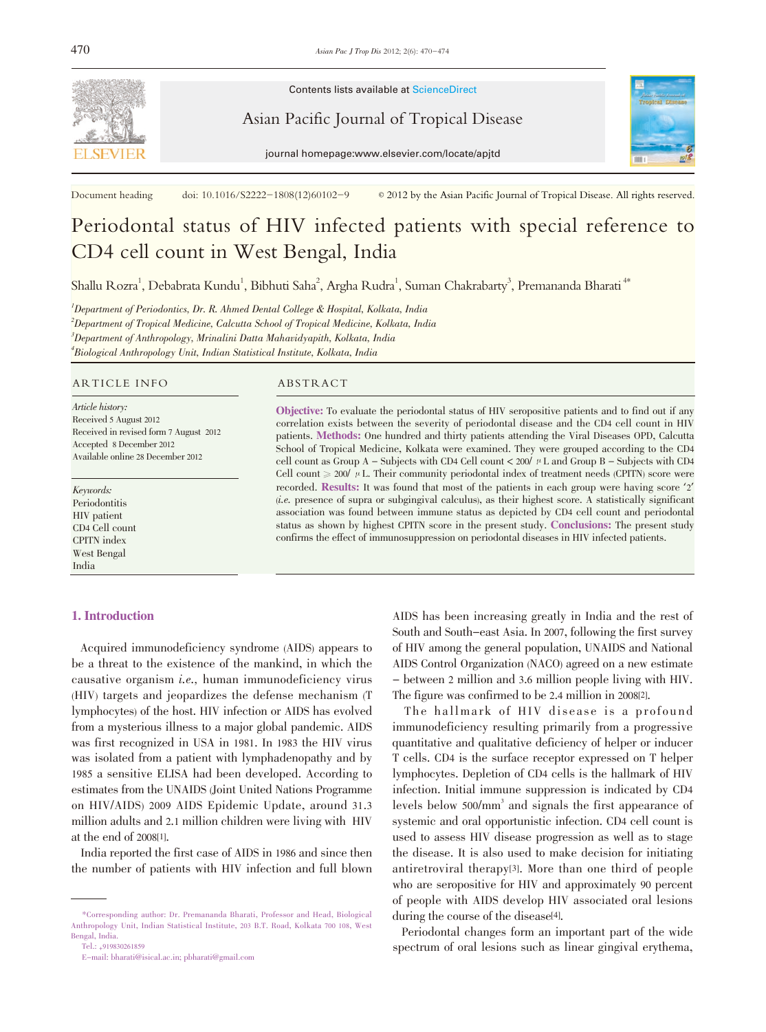

Contents lists available at ScienceDirect

Asian Pacific Journal of Tropical Disease



journal homepage:www.elsevier.com/locate/apjtd

Document heading doi: 10.1016/S2222-1808(12)60102-9  $\circ$  2012 by the Asian Pacific Journal of Tropical Disease. All rights reserved.

# Periodontal status of HIV infected patients with special reference to CD4 cell count in West Bengal, India

Shallu Rozra<sup>1</sup>, Debabrata Kundu<sup>1</sup>, Bibhuti Saha<sup>2</sup>, Argha Rudra<sup>1</sup>, Suman Chakrabarty<sup>3</sup>, Premananda Bharati <sup>4\*</sup>

 $^{\prime}$ Department of Periodontics, Dr. R. Ahmed Dental College & Hospital, Kolkata, India  $^2$ Department of Tropical Medicine, Calcutta School of Tropical Medicine, Kolkata, India  $^3$ Department of Anthropology, Mrinalini Datta Mahavidyapith, Kolkata, India 4 Biological Anthropology Unit, Indian Statistical Institute, Kolkata, India

#### ARTICLE INFO ABSTRACT

Article history: Received 5 August 2012 Received in revised form 7 August 2012 Accepted 8 December 2012 Available online 28 December 2012

Keywords: Periodontitis HIV patient CD4 Cell count CPITN index West Bengal India

# 1. Introduction

Objective: To evaluate the periodontal status of HIV seropositive patients and to find out if any correlation exists between the severity of periodontal disease and the CD4 cell count in HIV patients. Methods: One hundred and thirty patients attending the Viral Diseases OPD, Calcutta School of Tropical Medicine, Kolkata were examined. They were grouped according to the CD4 cell count as Group A – Subjects with CD4 Cell count  $\lt$  200/  $\mu$  L and Group B – Subjects with CD4 Cell count  $\geq 200'$   $\mu$  L. Their community periodontal index of treatment needs (CPITN) score were recorded. Results: It was found that most of the patients in each group were having score '2' (i.e. presence of supra or subgingival calculus), as their highest score. A statistically significant association was found between immune status as depicted by CD4 cell count and periodontal status as shown by highest CPITN score in the present study. Conclusions: The present study confirms the effect of immunosuppression on periodontal diseases in HIV infected patients.

Acquired immunodeficiency syndrome (AIDS) appears to be a threat to the existence of the mankind, in which the causative organism i.e., human immunodeficiency virus (HIV) targets and jeopardizes the defense mechanism (T lymphocytes) of the host. HIV infection or AIDS has evolved from a mysterious illness to a major global pandemic. AIDS was first recognized in USA in 1981. In 1983 the HIV virus was isolated from a patient with lymphadenopathy and by 1985 a sensitive ELISA had been developed. According to estimates from the UNAIDS (Joint United Nations Programme on HIV/AIDS) 2009 AIDS Epidemic Update, around 31.3 million adults and 2.1 million children were living with HIV at the end of 2008[1].

India reported the first case of AIDS in 1986 and since then the number of patients with HIV infection and full blown

AIDS has been increasing greatly in India and the rest of South and South-east Asia. In 2007, following the first survey of HIV among the general population, UNAIDS and National AIDS Control Organization (NACO) agreed on a new estimate - between 2 million and 3.6 million people living with HIV. The figure was confirmed to be 2.4 million in 2008[2].

The hallmark of HIV disease is a profound immunodeficiency resulting primarily from a progressive quantitative and qualitative deficiency of helper or inducer T cells. CD4 is the surface receptor expressed on T helper lymphocytes. Depletion of CD4 cells is the hallmark of HIV infection. Initial immune suppression is indicated by CD4 levels below 500/mm<sup>3</sup> and signals the first appearance of systemic and oral opportunistic infection. CD4 cell count is used to assess HIV disease progression as well as to stage the disease. It is also used to make decision for initiating antiretroviral therapy[3]. More than one third of people who are seropositive for HIV and approximately 90 percent of people with AIDS develop HIV associated oral lesions during the course of the disease<sup>[4]</sup>.

Periodontal changes form an important part of the wide spectrum of oral lesions such as linear gingival erythema,

<sup>\*</sup>Corresponding author: Dr. Premananda Bharati, Professor and Head, Biological Anthropology Unit, Indian Statistical Institute, 203 B.T. Road, Kolkata 700 108, West Bengal, India.

Tel.: +919830261859

E-mail: bharati@isical.ac.in; pbharati@gmail.com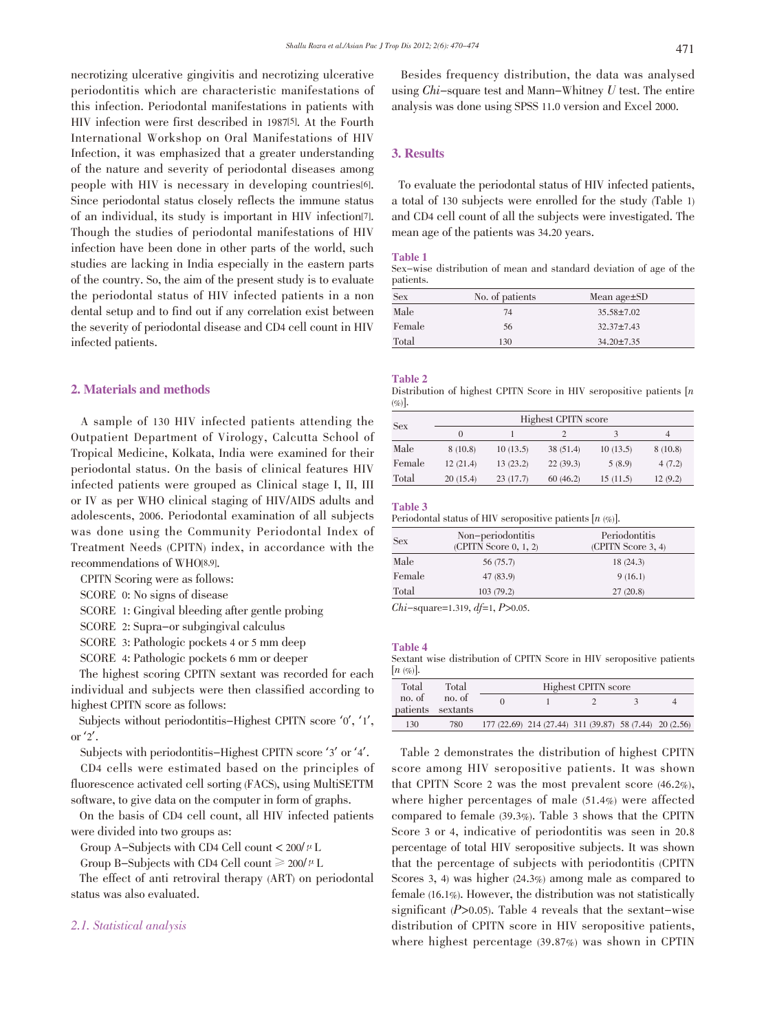necrotizing ulcerative gingivitis and necrotizing ulcerative periodontitis which are characteristic manifestations of this infection. Periodontal manifestations in patients with HIV infection were first described in 1987[5]. At the Fourth International Workshop on Oral Manifestations of HIV Infection, it was emphasized that a greater understanding of the nature and severity of periodontal diseases among people with HIV is necessary in developing countries[6]. Since periodontal status closely reflects the immune status of an individual, its study is important in HIV infection[7]. Though the studies of periodontal manifestations of HIV infection have been done in other parts of the world, such studies are lacking in India especially in the eastern parts of the country. So, the aim of the present study is to evaluate the periodontal status of HIV infected patients in a non dental setup and to find out if any correlation exist between the severity of periodontal disease and CD4 cell count in HIV infected patients.

# 2. Materials and methods

A sample of 130 HIV infected patients attending the Outpatient Department of Virology, Calcutta School of Tropical Medicine, Kolkata, India were examined for their periodontal status. On the basis of clinical features HIV infected patients were grouped as Clinical stage I, II, III or IV as per WHO clinical staging of HIV/AIDS adults and adolescents, 2006. Periodontal examination of all subjects was done using the Community Periodontal Index of Treatment Needs (CPITN) index, in accordance with the recommendations of WHO[8,9].

CPITN Scoring were as follows:

SCORE 0: No signs of disease

SCORE 1: Gingival bleeding after gentle probing

SCORE 2: Supra-or subgingival calculus

SCORE 3: Pathologic pockets 4 or 5 mm deep

SCORE 4: Pathologic pockets 6 mm or deeper

The highest scoring CPITN sextant was recorded for each individual and subjects were then classified according to highest CPITN score as follows:

Subjects without periodontitis-Highest CPITN score '0', '1', or  $2'$ .

Subjects with periodontitis-Highest CPITN score '3' or '4'.

CD4 cells were estimated based on the principles of fluorescence activated cell sorting (FACS), using MultiSETTM software, to give data on the computer in form of graphs.

On the basis of CD4 cell count, all HIV infected patients were divided into two groups as:

Group A-Subjects with CD4 Cell count  $< 200/\mu$  L

Group B-Subjects with CD4 Cell count  $\geq 200/\mu$  L

The effect of anti retroviral therapy (ART) on periodontal status was also evaluated.

# 2.1. Statistical analysis

Besides frequency distribution, the data was analysed using  $Chi$ -square test and Mann-Whitney  $U$  test. The entire analysis was done using SPSS 11.0 version and Excel 2000.

# 3. Results

To evaluate the periodontal status of HIV infected patients, a total of 130 subjects were enrolled for the study (Table 1) and CD4 cell count of all the subjects were investigated. The mean age of the patients was 34.20 years.

#### Table 1

Sex-wise distribution of mean and standard deviation of age of the patients.

| <b>Sex</b> | No. of patients | Mean $age \pm SD$ |  |
|------------|-----------------|-------------------|--|
| Male       | 74              | $35.58 \pm 7.02$  |  |
| Female     | 56              | $32.37 \pm 7.43$  |  |
| Total      | 130             | $34.20 \pm 7.35$  |  |

#### Table 2

Distribution of highest CPITN Score in HIV seropositive patients  $[n \infty]$ .

|            |          |          | Highest CPITN score |          |         |
|------------|----------|----------|---------------------|----------|---------|
| <b>Sex</b> | $\theta$ |          |                     | 3        | 4       |
| Male       | 8(10.8)  | 10(13.5) | 38 (51.4)           | 10(13.5) | 8(10.8) |
| Female     | 12(21.4) | 13(23.2) | 22(39.3)            | 5(8.9)   | 4(7.2)  |
| Total      | 20(15.4) | 23(17.7) | 60(46.2)            | 15(11.5) | 12(9.2) |

### Table 3

Periodontal status of HIV seropositive patients  $[n \ (\%)]$ .

| <b>Sex</b> | Non-periodontitis<br>(CPITN Score 0, 1, 2) | Periodontitis<br>(CPITN Score 3, 4) |
|------------|--------------------------------------------|-------------------------------------|
| Male       | 56 (75.7)                                  | 18(24.3)                            |
| Female     | 47 (83.9)                                  | 9(16.1)                             |
| Total      | 103(79.2)                                  | 27(20.8)                            |
|            |                                            |                                     |

 $Chi$ -square=1.319,  $df$ =1,  $P$ >0.05.

# Table 4

Sextant wise distribution of CPITN Score in HIV seropositive patients  $[n \ (\%)]$ .

| Total  | Total                       |  | Highest CPITN score                                     |  |
|--------|-----------------------------|--|---------------------------------------------------------|--|
| no. of | no. of<br>patients sextants |  |                                                         |  |
| 130    | 780                         |  | 177 (22.69) 214 (27.44) 311 (39.87) 58 (7.44) 20 (2.56) |  |

Table 2 demonstrates the distribution of highest CPITN score among HIV seropositive patients. It was shown that CPITN Score 2 was the most prevalent score (46.2%), where higher percentages of male (51.4%) were affected compared to female (39.3%). Table 3 shows that the CPITN Score 3 or 4, indicative of periodontitis was seen in 20.8 percentage of total HIV seropositive subjects. It was shown that the percentage of subjects with periodontitis (CPITN Scores 3, 4) was higher (24.3%) among male as compared to female (16.1%). However, the distribution was not statistically significant  $(P>0.05)$ . Table 4 reveals that the sextant-wise distribution of CPITN score in HIV seropositive patients, where highest percentage (39.87%) was shown in CPTIN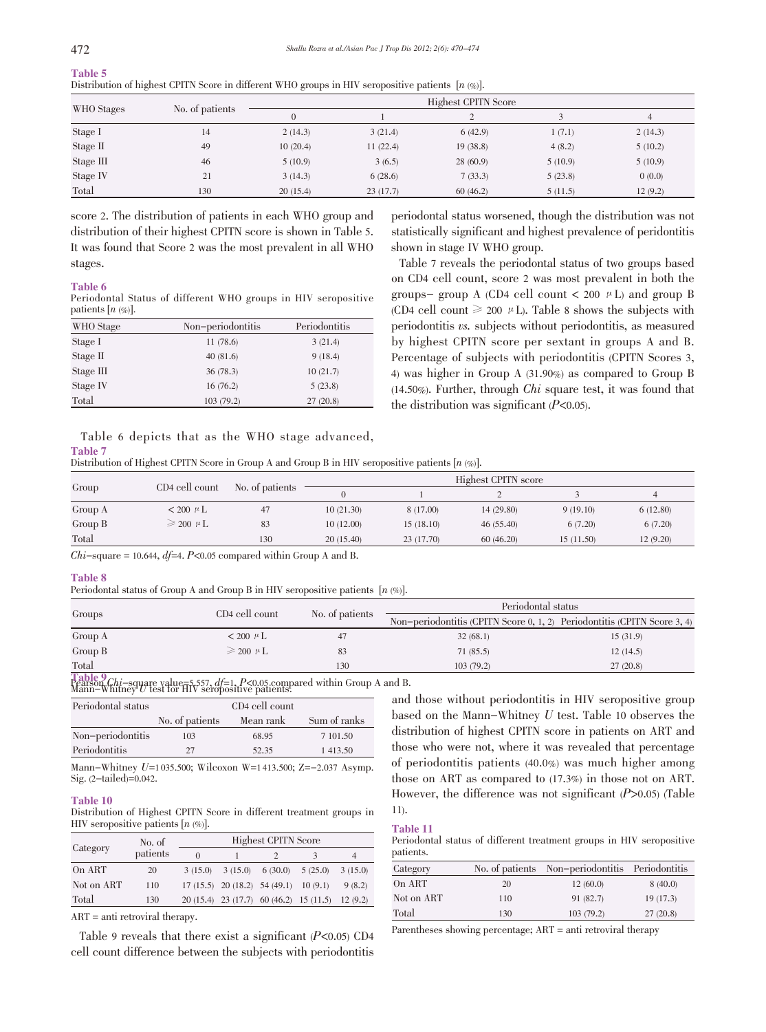|            |                 |          |          | Highest CPITN Score |         |                |
|------------|-----------------|----------|----------|---------------------|---------|----------------|
| WHO Stages | No. of patients | $\Omega$ |          | $\bigcap$           |         | $\overline{4}$ |
| Stage I    | 14              | 2(14.3)  | 3(21.4)  | 6(42.9)             | 1(7.1)  | 2(14.3)        |
| Stage II   | 49              | 10(20.4) | 11(22.4) | 19(38.8)            | 4(8.2)  | 5(10.2)        |
| Stage III  | 46              | 5(10.9)  | 3(6.5)   | 28(60.9)            | 5(10.9) | 5(10.9)        |
| Stage IV   | 21              | 3(14.3)  | 6(28.6)  | 7(33.3)             | 5(23.8) | 0(0.0)         |
| Total      | 130             | 20(15.4) | 23(17.7) | 60(46.2)            | 5(11.5) | 12(9.2)        |

Table 5 Distribution of highest CPITN Score in different WHO groups in HIV seropositive patients  $[n \lll(6)]$ .

score 2. The distribution of patients in each WHO group and distribution of their highest CPITN score is shown in Table 5. It was found that Score 2 was the most prevalent in all WHO stages.

#### Table 6

Periodontal Status of different WHO groups in HIV seropositive patients  $[n \ (\%)]$ .

| WHO Stage | Non-periodontitis | Periodontitis |
|-----------|-------------------|---------------|
| Stage I   | 11(78.6)          | 3(21.4)       |
| Stage II  | 40(81.6)          | 9(18.4)       |
| Stage III | 36(78.3)          | 10(21.7)      |
| Stage IV  | 16(76.2)          | 5(23.8)       |
| Total     | 103 (79.2)        | 27(20.8)      |

periodontal status worsened, though the distribution was not statistically significant and highest prevalence of peridontitis shown in stage IV WHO group.

Table 7 reveals the periodontal status of two groups based on CD4 cell count, score 2 was most prevalent in both the groups- group A (CD4 cell count  $\lt$  200  $\mu$  L) and group B (CD4 cell count  $\geq 200 \mu L$ ). Table 8 shows the subjects with periodontitis vs. subjects without periodontitis, as measured by highest CPITN score per sextant in groups A and B. Percentage of subjects with periodontitis (CPITN Scores 3, 4) was higher in Group A (31.90%) as compared to Group B (14.50%). Further, through Chi square test, it was found that the distribution was significant  $(P<0.05)$ .

|                |                          |  |  | Table 6 depicts that as the WHO stage advanced, |  |
|----------------|--------------------------|--|--|-------------------------------------------------|--|
| <b>Table 7</b> |                          |  |  |                                                 |  |
| 1.1.1          | $Cov1 = \text{constant}$ |  |  |                                                 |  |

Distribution of Highest CPITN Score in Group A and Group B in HIV seropositive patients [n (%)].

|         |                         |                 |           |            | Highest CPITN score |           |          |
|---------|-------------------------|-----------------|-----------|------------|---------------------|-----------|----------|
| Group   | CD4 cell count          | No. of patients |           |            |                     |           |          |
| Group A | $< 200 \mu L$           | 47              | 10(21.30) | 8 (17.00)  | 14(29.80)           | 9(19.10)  | 6(12.80) |
| Group B | $\geqslant$ 200 $\mu$ L | 83              | 10(12.00) | 15(18.10)  | 46(55.40)           | 6(7.20)   | 6(7.20)  |
| Total   |                         | 130             | 20(15.40) | 23 (17.70) | 60(46.20)           | 15(11.50) | 12(9.20) |
|         |                         |                 |           |            |                     |           |          |

Chi-square = 10.644,  $df=4$ . P<0.05 compared within Group A and B.

#### Table 8

Periodontal status of Group A and Group B in HIV seropositive patients  $[n (\%)].$ 

|                               | CD4 cell count          |                 | Periodontal status                                                       |          |
|-------------------------------|-------------------------|-----------------|--------------------------------------------------------------------------|----------|
| Groups                        |                         | No. of patients | Non-periodontitis (CPITN Score 0, 1, 2) Periodontitis (CPITN Score 3, 4) |          |
| Group A                       | $< 200 \mu L$           | 47              | 32(68.1)                                                                 | 15(31.9) |
| Group B                       | $\geqslant$ 200 $\mu$ L | 83              | 71(85.5)                                                                 | 12(14.5) |
| Total<br>$\pi$ $\pi$ $\alpha$ |                         | 130             | 103(79.2)                                                                | 27(20.8) |

 $T=\begin{bmatrix} \texttt{Table 9} \ \texttt{Chi} = \text{square value} \texttt{=} \texttt{5}, \texttt{557}, \texttt{df=1}, \texttt{P<0.05}, \text{compared within Group A and B.} \ \texttt{Main} = \texttt{W} \text{hting } U \text{ test for HIV seropostive patients.} \end{bmatrix}$ 

| Periodontal status |                 | CD4 cell count |              |
|--------------------|-----------------|----------------|--------------|
|                    | No. of patients | Mean rank      | Sum of ranks |
| Non-periodontitis  | 103             | 68.95          | 7 101.50     |
| Periodontitis      | 27              | 52.35          | 1413.50      |

Mann-Whitney U=1 035.500; Wilcoxon W=1 413.500; Z=-2.037 Asymp. Sig. (2-tailed)=0.042.

#### Table 10

Distribution of Highest CPITN Score in different treatment groups in HIV seropositive patients  $[n \ (\%)]$ .

|            | No. of   |         |         | <b>Highest CPITN Score</b>                 |                                                  |         |
|------------|----------|---------|---------|--------------------------------------------|--------------------------------------------------|---------|
| Category   | patients | 0       |         |                                            |                                                  | 4       |
| On ART     | 20       | 3(15.0) | 3(15.0) | $6(30.0)$ $5(25.0)$                        |                                                  | 3(15.0) |
| Not on ART | 110      |         |         | $17(15.5)$ $20(18.2)$ $54(49.1)$ $10(9.1)$ |                                                  | 9(8.2)  |
| Total      | 130      |         |         |                                            | 20 (15.4) 23 (17.7) 60 (46.2) 15 (11.5) 12 (9.2) |         |

ART = anti retroviral therapy.

Table 9 reveals that there exist a significant  $(P<0.05)$  CD4 cell count difference between the subjects with periodontitis

and those without periodontitis in HIV seropositive group based on the Mann-Whitney U test. Table <sup>10</sup> observes the distribution of highest CPITN score in patients on ART and those who were not, where it was revealed that percentage of periodontitis patients (40.0%) was much higher among those on ART as compared to (17.3%) in those not on ART. However, the difference was not significant  $(P>0.05)$  (Table 11).

#### Table 11

Periodontal status of different treatment groups in HIV seropositive patients.

| Category   |     | No. of patients Non-periodontitis Periodontitis |          |
|------------|-----|-------------------------------------------------|----------|
| On ART     | 20  | 12(60.0)                                        | 8(40.0)  |
| Not on ART | 110 | 91 (82.7)                                       | 19(17.3) |
| Total      | 130 | 103(79.2)                                       | 27(20.8) |

Parentheses showing percentage; ART = anti retroviral therapy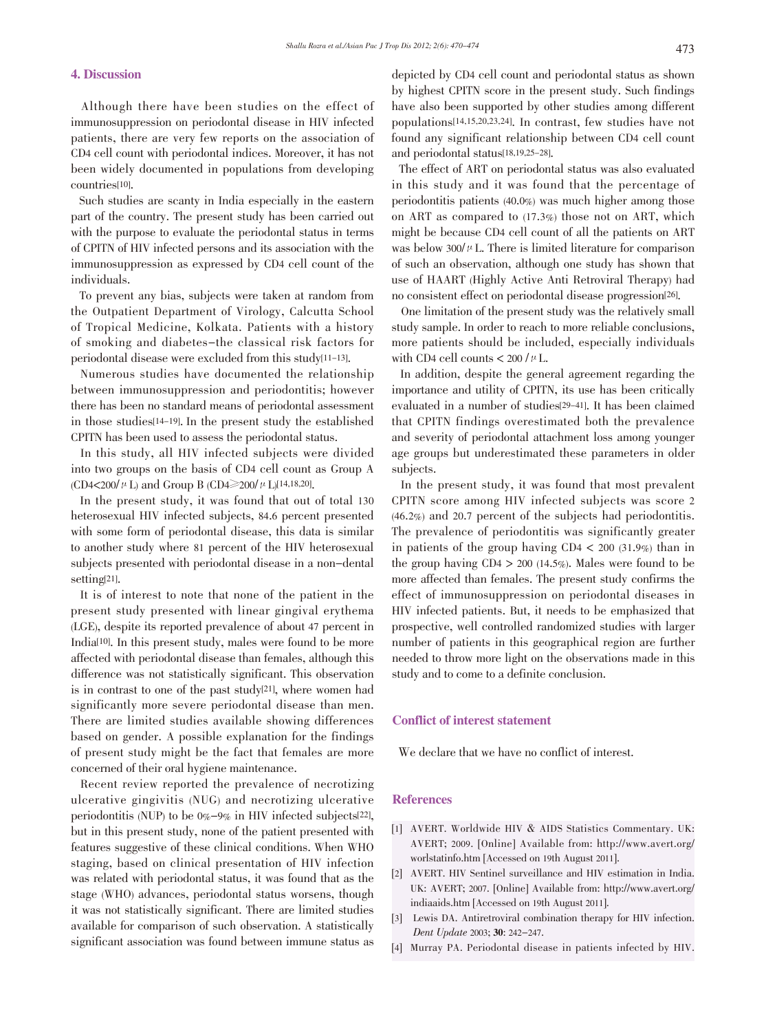# 4. Discussion

Although there have been studies on the effect of immunosuppression on periodontal disease in HIV infected patients, there are very few reports on the association of CD4 cell count with periodontal indices. Moreover, it has not been widely documented in populations from developing countries[10].

Such studies are scanty in India especially in the eastern part of the country. The present study has been carried out with the purpose to evaluate the periodontal status in terms of CPITN of HIV infected persons and its association with the immunosuppression as expressed by CD4 cell count of the individuals.

To prevent any bias, subjects were taken at random from the Outpatient Department of Virology, Calcutta School of Tropical Medicine, Kolkata. Patients with a history of smoking and diabetes-the classical risk factors for periodontal disease were excluded from this study[11-13].

Numerous studies have documented the relationship between immunosuppression and periodontitis; however there has been no standard means of periodontal assessment in those studies[14-19]. In the present study the established CPITN has been used to assess the periodontal status.

In this study, all HIV infected subjects were divided into two groups on the basis of CD4 cell count as Group A (CD4<200/ $\mu$  L) and Group B (CD4 $\geq$ 200/ $\mu$  L)[14,18,20].

In the present study, it was found that out of total 130 heterosexual HIV infected subjects, 84.6 percent presented with some form of periodontal disease, this data is similar to another study where 81 percent of the HIV heterosexual subjects presented with periodontal disease in a non-dental setting[21].

It is of interest to note that none of the patient in the present study presented with linear gingival erythema (LGE), despite its reported prevalence of about 47 percent in India[10]. In this present study, males were found to be more affected with periodontal disease than females, although this difference was not statistically significant. This observation is in contrast to one of the past study[21], where women had significantly more severe periodontal disease than men. There are limited studies available showing differences based on gender. A possible explanation for the findings of present study might be the fact that females are more concerned of their oral hygiene maintenance.

Recent review reported the prevalence of necrotizing ulcerative gingivitis (NUG) and necrotizing ulcerative periodontitis (NUP) to be 0%-9% in HIV infected subjects[22], but in this present study, none of the patient presented with features suggestive of these clinical conditions. When WHO staging, based on clinical presentation of HIV infection was related with periodontal status, it was found that as the stage (WHO) advances, periodontal status worsens, though it was not statistically significant. There are limited studies available for comparison of such observation. A statistically significant association was found between immune status as

depicted by CD4 cell count and periodontal status as shown by highest CPITN score in the present study. Such findings have also been supported by other studies among different populations[14,15,20,23,24]. In contrast, few studies have not found any significant relationship between CD4 cell count and periodontal status[18,19,25-28].

The effect of ART on periodontal status was also evaluated in this study and it was found that the percentage of periodontitis patients (40.0%) was much higher among those on ART as compared to (17.3%) those not on ART, which might be because CD4 cell count of all the patients on ART was below  $300/\mu$  L. There is limited literature for comparison of such an observation, although one study has shown that use of HAART (Highly Active Anti Retroviral Therapy) had no consistent effect on periodontal disease progression[26].

One limitation of the present study was the relatively small study sample. In order to reach to more reliable conclusions, more patients should be included, especially individuals with CD4 cell counts  $< 200 / \mu$  L.

In addition, despite the general agreement regarding the importance and utility of CPITN, its use has been critically evaluated in a number of studies[29-41]. It has been claimed that CPITN findings overestimated both the prevalence and severity of periodontal attachment loss among younger age groups but underestimated these parameters in older subjects.

In the present study, it was found that most prevalent CPITN score among HIV infected subjects was score 2 (46.2%) and 20.7 percent of the subjects had periodontitis. The prevalence of periodontitis was significantly greater in patients of the group having CD4 < 200 (31.9%) than in the group having  $CD4 > 200$  (14.5%). Males were found to be more affected than females. The present study confirms the effect of immunosuppression on periodontal diseases in HIV infected patients. But, it needs to be emphasized that prospective, well controlled randomized studies with larger number of patients in this geographical region are further needed to throw more light on the observations made in this study and to come to a definite conclusion.

#### Conflict of interest statement

We declare that we have no conflict of interest.

#### References

- [1] AVERT. Worldwide HIV & AIDS Statistics Commentary. UK: AVERT; 2009. [Online] Available from: http://www.avert.org/ worlstatinfo.htm [Accessed on 19th August 2011].
- [2] AVERT. HIV Sentinel surveillance and HIV estimation in India. UK: AVERT; 2007. [Online] Available from: http://www.avert.org/ indiaaids.htm [Accessed on 19th August 2011].
- [3] Lewis DA. Antiretroviral combination therapy for HIV infection. Dent Update 2003; 30: 242-247.
- [4] Murray PA. Periodontal disease in patients infected by HIV.